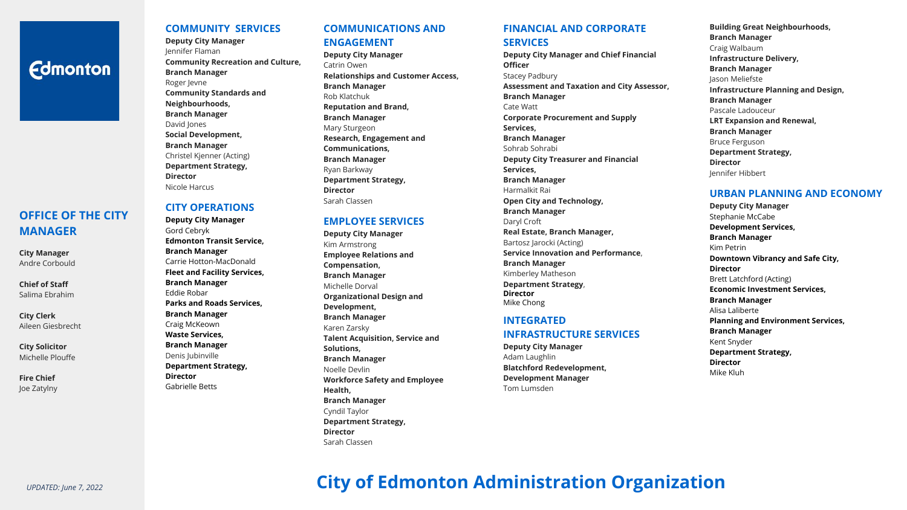# **Fdmonton**

# **OFFICE OF THE CITY MANAGER**

**City Manager**  Andre Corbould

**Chief of Staff**  Salima Ebrahim

**City Clerk**  Aileen Giesbrecht

**City Solicitor**  Michelle Plouffe

**Fire Chief**  Joe Zatylny

# **COMMUNITY SERVICES**

**Deputy City Manager**  Jennifer Flaman **Community Recreation and Culture, Branch Manager**  Roger Jevne **Community Standards and Neighbourhoods, Branch Manager**  David Jones **Social Development, Branch Manager**  Christel Kjenner (Acting) **Department Strategy, Director** Nicole Harcus

## **CITY OPERATIONS**

**Deputy City Manager**  Gord Cebryk **Edmonton Transit Service, Branch Manager**  Carrie Hotton-MacDonald **Fleet and Facility Services, Branch Manager**  Eddie Robar **Parks and Roads Services, Branch Manager**  Craig McKeown **Waste Services, Branch Manager**  Denis Jubinville **Department Strategy, Director**  Gabrielle Betts

# **COMMUNICATIONS AND ENGAGEMENT**

**Deputy City Manager**  Catrin Owen **Relationships and Customer Access, Branch Manager** Rob Klatchuk **Reputation and Brand, Branch Manager**  Mary Sturgeon **Research, Engagement and Communications, Branch Manager**  Ryan Barkway **Department Strategy, Director**  Sarah Classen

# **EMPLOYEE SERVICES**

**Deputy City Manager**  Kim Armstrong **Employee Relations and Compensation, Branch Manager**  Michelle Dorval **Organizational Design and Development, Branch Manager**  Karen Zarsky **Talent Acquisition, Service and Solutions, Branch Manager**  Noelle Devlin **Workforce Safety and Employee Health, Branch Manager**  Cyndil Taylor **Department Strategy, Director** Sarah Classen

# **FINANCIAL AND CORPORATE**

# **SERVICES**

**Deputy City Manager and Chief Financial Officer**  Stacey Padbury **Assessment and Taxation and City Assessor, Branch Manager** Cate Watt **Corporate Procurement and Supply Services, Branch Manager**  Sohrab Sohrabi **Deputy City Treasurer and Financial Services, Branch Manager**  Harmalkit Rai **Open City and Technology, Branch Manager**  Daryl Croft **Real Estate, Branch Manager,**  Bartosz Jarocki (Acting) **Service Innovation and Performance**, **Branch Manager** Kimberley Matheson **Department Strategy**, **Director** 

# **INTEGRATED INFRASTRUCTURE SERVICES**

Mike Chong

**Deputy City Manager**  Adam Laughlin **Blatchford Redevelopment, Development Manager**  Tom Lumsden

**Building Great Neighbourhoods, Branch Manager**  Craig Walbaum **Infrastructure Delivery, Branch Manager**  Jason Meliefste **Infrastructure Planning and Design, Branch Manager**  Pascale Ladouceur **LRT Expansion and Renewal, Branch Manager**  Bruce Ferguson **Department Strategy, Director** Jennifer Hibbert

# **URBAN PLANNING AND ECONOMY**

**Deputy City Manager**  Stephanie McCabe **Development Services, Branch Manager**  Kim Petrin **Downtown Vibrancy and Safe City, Director** Brett Latchford (Acting) **Economic Investment Services, Branch Manager** Alisa Laliberte **Planning and Environment Services, Branch Manager**  Kent Snyder **Department Strategy, Director**  Mike Kluh

# **City of Edmonton Administration Organization**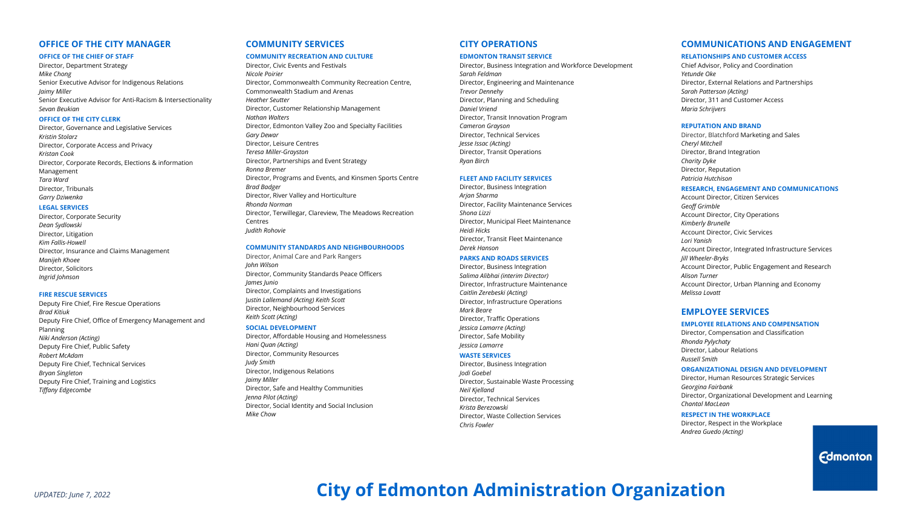## **OFFICE OF THE CITY MANAGER**

#### **OFFICE OF THE CHIEF OF STAFF**

Director, Department Strategy *Mike Chong*  Senior Executive Advisor for Indigenous Relations *Jaimy Miller* Senior Executive Advisor for Anti-Racism & Intersectionality *Sevan Beukian*

#### **OFFICE OF THE CITY CLERK**

Director, Governance and Legislative Services *Kristin Stolarz* Director, Corporate Access and Privacy *Kristan Cook* Director, Corporate Records, Elections & information Management *Tara Ward*  Director, Tribunals *Garry Dziwenka* 

#### **LEGAL SERVICES**

Director, Corporate Security *Dean Sydlowski*  Director, Litigation *Kim Fallis-Howell* Director, Insurance and Claims Management *Manijeh Khoee*  Director, Solicitors *Ingrid Johnson*

#### **FIRE RESCUE SERVICES**

Deputy Fire Chief, Fire Rescue Operations *Brad Kitiuk* Deputy Fire Chief, Office of Emergency Management and Planning *Niki Anderson (Acting)* Deputy Fire Chief, Public Safety *Robert McAdam* Deputy Fire Chief, Technical Services *Bryan Singleton*  Deputy Fire Chief, Training and Logistics *Tiffany Edgecombe* 

# **COMMUNITY SERVICES**

#### **COMMUNITY RECREATION AND CULTURE**

Director, Civic Events and Festivals *Nicole Poirier* Director, Commonwealth Community Recreation Centre, Commonwealth Stadium and Arenas *Heather Seutter*  Director, Customer Relationship Management *Nathan Walters*  Director, Edmonton Valley Zoo and Specialty Facilities *Gary Dewar*  Director, Leisure Centres *Teresa Miller-Grayston* Director, Partnerships and Event Strategy *Ronna Bremer* Director, Programs and Events, and Kinsmen Sports Centre *Brad Badger*  Director, River Valley and Horticulture *Rhonda Norman*  Director, Terwillegar, Clareview, The Meadows Recreation Centres *Judith Rohovie* 

#### **COMMUNITY STANDARDS AND NEIGHBOURHOODS**

Director, Animal Care and Park Rangers *John Wilson* Director, Community Standards Peace Officers *James Junio*  Director, Complaints and Investigations J*ustin Lallemand (Acting) Keith Scott* Director, Neighbourhood Services *Keith Scott (Acting)* 

#### **SOCIAL DEVELOPMENT**

Director, Affordable Housing and Homelessness *Hani Quan (Acting)* Director, Community Resources *Judy Smith* Director, Indigenous Relations *Jaimy Miller*  Director, Safe and Healthy Communities *Jenna Pilot (Acting)*  Director, Social Identity and Social Inclusion *Mike Chow*

## **CITY OPERATIONS**

#### **EDMONTON TRANSIT SERVICE**

Director, Business Integration and Workforce Development *Sarah Feldman* Director, Engineering and Maintenance *Trevor Dennehy*  Director, Planning and Scheduling *Daniel Vriend* Director, Transit Innovation Program *Cameron Grayson*  Director, Technical Services *Jesse Issac (Acting)* Director, Transit Operations *Ryan Birch* 

#### **FLEET AND FACILITY SERVICES**

Director, Business Integration *Arjan Sharma*  Director, Facility Maintenance Services *Shona Lizzi*  Director, Municipal Fleet Maintenance *Heidi Hicks*  Director, Transit Fleet Maintenance *Derek Hanson* 

#### **PARKS AND ROADS SERVICES**

Director, Business Integration *Salima Alibhai (interim Director)*  Director, Infrastructure Maintenance *Caitlin Zerebeski (Acting)*  Director, Infrastructure Operations *Mark Beare*  Director, Traffic Operations *Jessica Lamarre (Acting)* Director, Safe Mobility *Jessica Lamarre* 

#### **WASTE SERVICES**

Director, Business Integration *Jodi Goebel* Director, Sustainable Waste Processing *Neil Kjelland* Director, Technical Services *Krista Berezowski* Director, Waste Collection Services *Chris Fowler*

## **COMMUNICATIONS AND ENGAGEMENT**

#### **RELATIONSHIPS AND CUSTOMER ACCESS**

Chief Advisor, Policy and Coordination *Yetunde Oke*  Director, External Relations and Partnerships *Sarah Patterson (Acting)*  Director, 311 and Customer Access *Maria Schrijvers* 

#### **REPUTATION AND BRAND**

Director, Blatchford Marketing and Sales *Cheryl Mitchell*  Director, Brand Integration *Charity Dyke* Director, Reputation *Patricia Hutchison*

#### **RESEARCH, ENGAGEMENT AND COMMUNICATIONS**

Account Director, Citizen Services *Geoff Grimble*  Account Director, City Operations *Kimberly Brunelle* Account Director, Civic Services *Lori Yanish*  Account Director, Integrated Infrastructure Services *Jill Wheeler-Bryks*  Account Director, Public Engagement and Research *Alison Turner* Account Director, Urban Planning and Economy *Melissa Lovatt* 

## **EMPLOYEE SERVICES**

#### **EMPLOYEE RELATIONS AND COMPENSATION**

Director, Compensation and Classification *Rhonda Pylychaty*  Director, Labour Relations *Russell Smith* 

#### **ORGANIZATIONAL DESIGN AND DEVELOPMENT**

Director, Human Resources Strategic Services *Georgina Fairbank*  Director, Organizational Development and Learning *Chantal MacLean*

#### **RESPECT IN THE WORKPLACE**

Director, Respect in the Workplace *Andrea Guedo (Acting)*

# **Edmonton**

# **City of Edmonton Administration Organization**